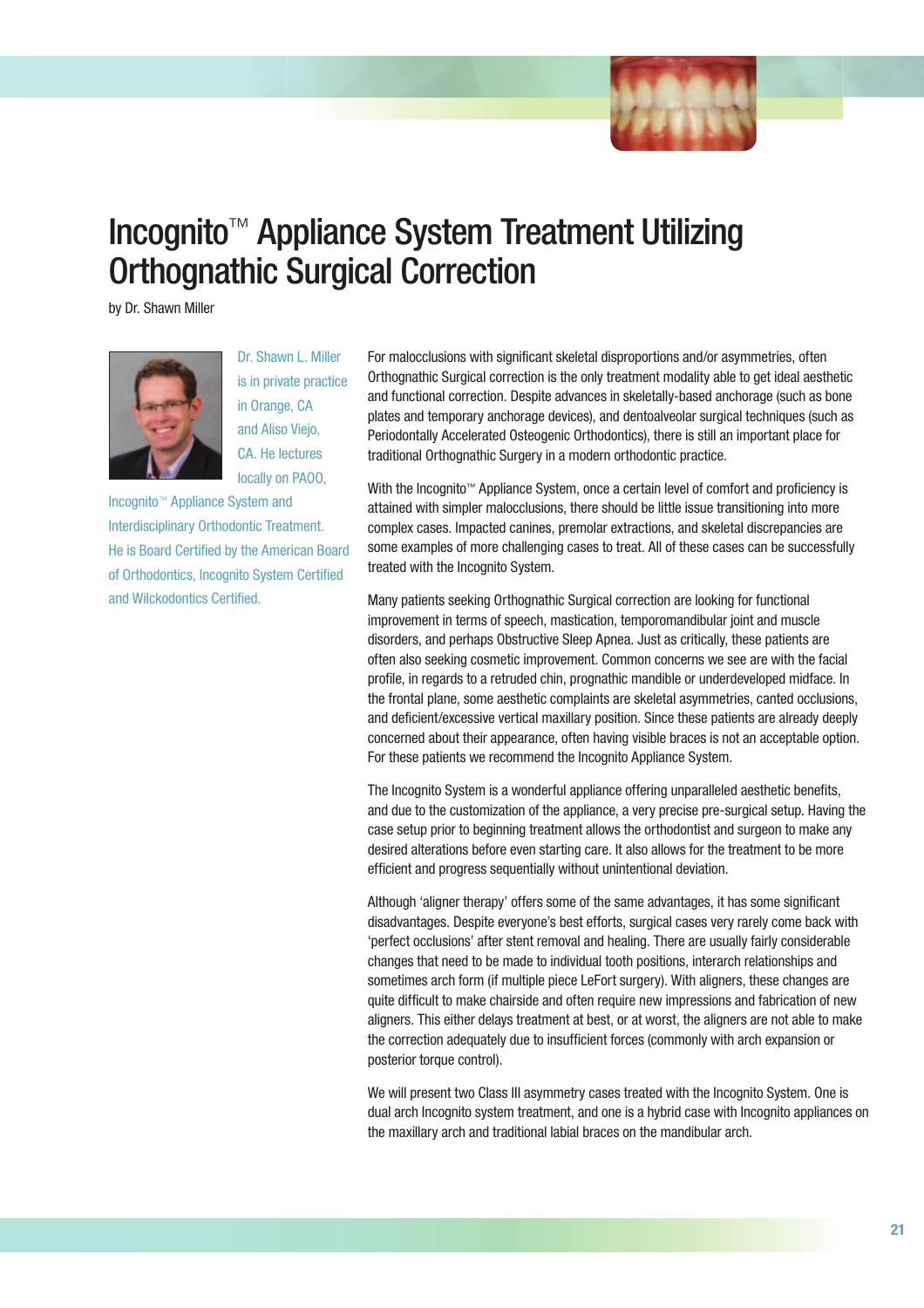

# Incognito™ Appliance System Treatment Utilizing Orthognathic Surgical Correction

by Dr. Shawn Miller



Dr. Shawn L. Miller is in private practice in Orange, CA and Aliso Viejo, CA. He lectures locally on PAOO,

Incognito™ Appliance System and Interdisciplinary Orthodontic Treatment. He is Board Certified by the American Board of Orthodontics, Incognito System Certified and Wilckodontics Certified.

For malocclusions with significant skeletal disproportions and/or asymmetries, often Orthognathic Surgical correction is the only treatment modality able to get ideal aesthetic and functional correction. Despite advances in skeletally-based anchorage (such as bone plates and temporary anchorage devices), and dentoalveolar surgical techniques (such as Periodontally Accelerated Osteogenic Orthodontics), there is still an important place for traditional Orthognathic Surgery in a modern orthodontic practice.

With the Incognito™ Appliance System, once a certain level of comfort and proficiency is attained with simpler malocclusions, there should be little issue transitioning into more complex cases. Impacted canines, premolar extractions, and skeletal discrepancies are some examples of more challenging cases to treat. All of these cases can be successfully treated with the Incognito System.

Many patients seeking Orthognathic Surgical correction are looking for functional improvement in terms of speech, mastication, temporomandibular joint and muscle disorders, and perhaps Obstructive Sleep Apnea. Just as critically, these patients are often also seeking cosmetic improvement. Common concerns we see are with the facial profile, in regards to a retruded chin, prognathic mandible or underdeveloped midface. In the frontal plane, some aesthetic complaints are skeletal asymmetries, canted occlusions, and deficient/excessive vertical maxillary position. Since these patients are already deeply concerned about their appearance, often having visible braces is not an acceptable option. For these patients we recommend the Incognito Appliance System.

The Incognito System is a wonderful appliance offering unparalleled aesthetic benefits, and due to the customization of the appliance, a very precise pre-surgical setup. Having the case setup prior to beginning treatment allows the orthodontist and surgeon to make any desired alterations before even starting care. It also allows for the treatment to be more efficient and progress sequentially without unintentional deviation.

Although 'aligner therapy' offers some of the same advantages, it has some significant disadvantages. Despite everyone's best efforts, surgical cases very rarely come back with 'perfect occlusions' after stent removal and healing. There are usually fairly considerable changes that need to be made to individual tooth positions, interarch relationships and sometimes arch form (if multiple piece LeFort surgery). With aligners, these changes are quite difficult to make chairside and often require new impressions and fabrication of new aligners. This either delays treatment at best, or at worst, the aligners are not able to make the correction adequately due to insufficient forces (commonly with arch expansion or posterior torque control).

We will present two Class III asymmetry cases treated with the Incognito System. One is dual arch Incognito system treatment, and one is a hybrid case with Incognito appliances on the maxillary arch and traditional labial braces on the mandibular arch.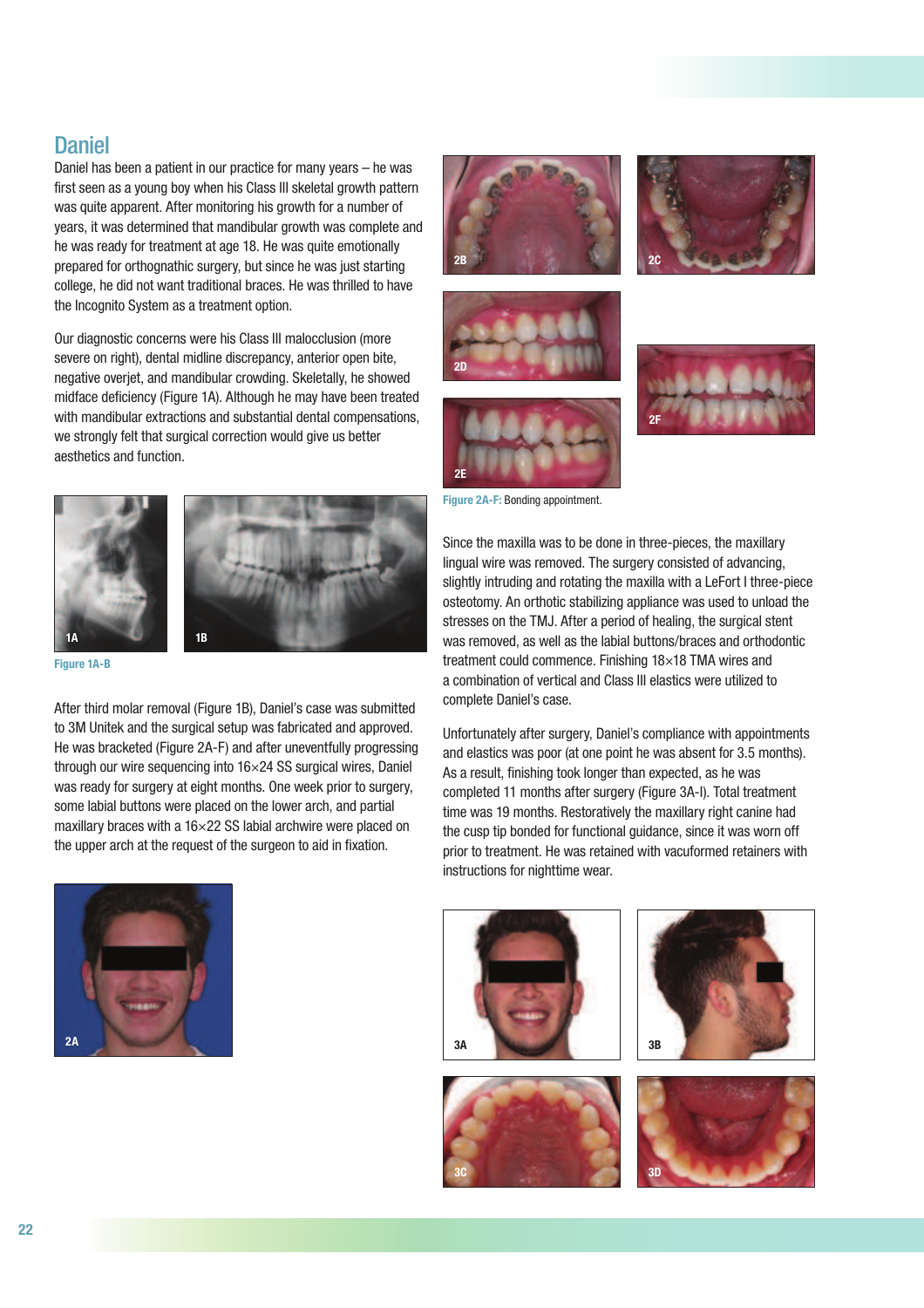## **Daniel**

Daniel has been a patient in our practice for many years – he was first seen as a young boy when his Class III skeletal growth pattern was quite apparent. After monitoring his growth for a number of years, it was determined that mandibular growth was complete and he was ready for treatment at age 18. He was quite emotionally prepared for orthognathic surgery, but since he was just starting college, he did not want traditional braces. He was thrilled to have the Incognito System as a treatment option.

Our diagnostic concerns were his Class III malocclusion (more severe on right), dental midline discrepancy, anterior open bite, negative overjet, and mandibular crowding. Skeletally, he showed midface deficiency (Figure 1A). Although he may have been treated with mandibular extractions and substantial dental compensations, we strongly felt that surgical correction would give us better aesthetics and function.





Figure 1A-B

After third molar removal (Figure 1B), Daniel's case was submitted to 3M Unitek and the surgical setup was fabricated and approved. He was bracketed (Figure 2A-F) and after uneventfully progressing through our wire sequencing into 16×24 SS surgical wires, Daniel was ready for surgery at eight months. One week prior to surgery, some labial buttons were placed on the lower arch, and partial maxillary braces with a 16×22 SS labial archwire were placed on the upper arch at the request of the surgeon to aid in fixation.













Figure 2A-F: Bonding appointment.

Since the maxilla was to be done in three-pieces, the maxillary lingual wire was removed. The surgery consisted of advancing, slightly intruding and rotating the maxilla with a LeFort I three-piece osteotomy. An orthotic stabilizing appliance was used to unload the stresses on the TMJ. After a period of healing, the surgical stent was removed, as well as the labial buttons/braces and orthodontic treatment could commence. Finishing 18×18 TMA wires and a combination of vertical and Class III elastics were utilized to complete Daniel's case.

Unfortunately after surgery, Daniel's compliance with appointments and elastics was poor (at one point he was absent for 3.5 months). As a result, finishing took longer than expected, as he was completed 11 months after surgery (Figure 3A-I). Total treatment time was 19 months. Restoratively the maxillary right canine had the cusp tip bonded for functional guidance, since it was worn off prior to treatment. He was retained with vacuformed retainers with instructions for nighttime wear.







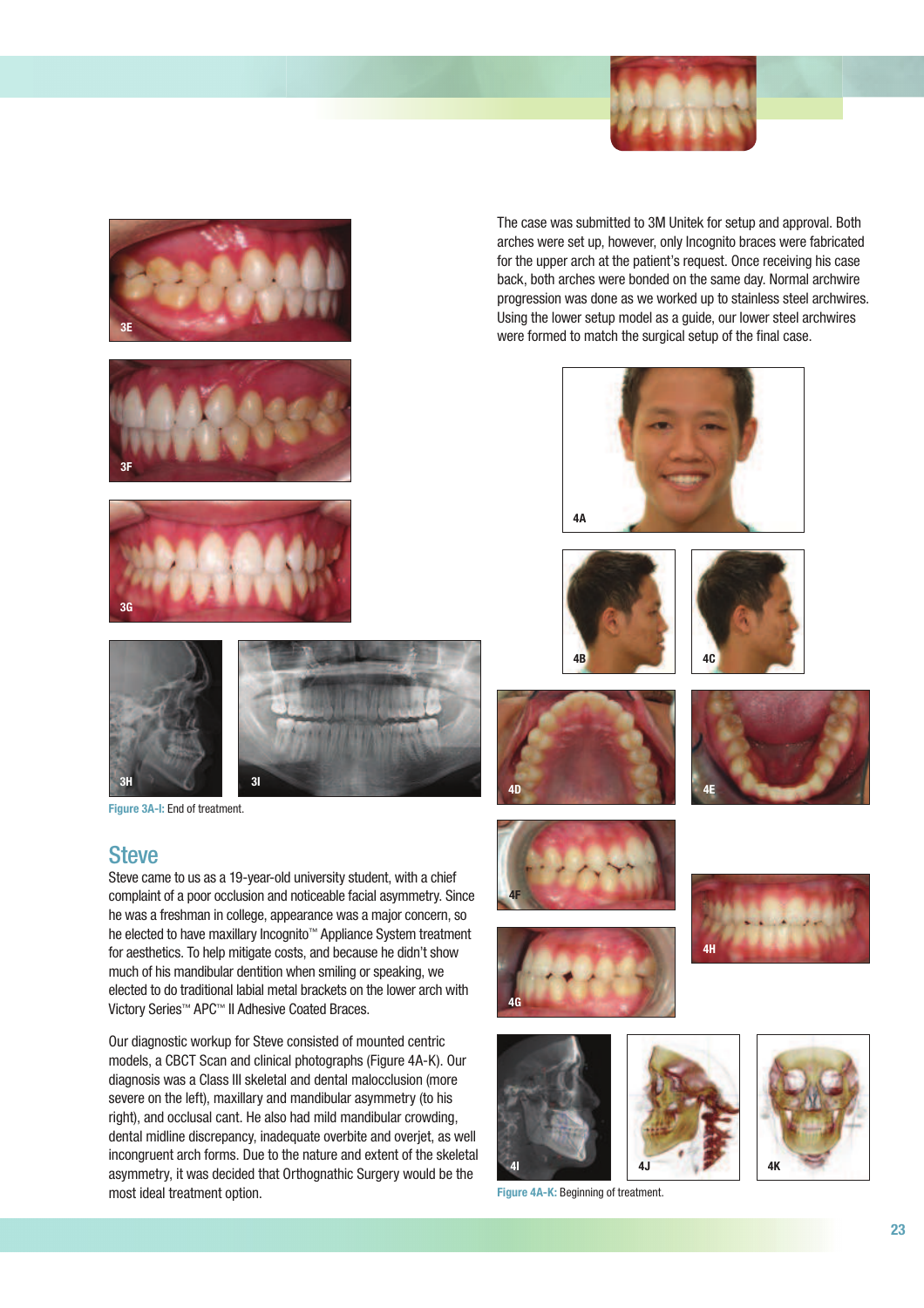









Figure 3A-I: End of treatment.

### **Steve**

Steve came to us as a 19-year-old university student, with a chief complaint of a poor occlusion and noticeable facial asymmetry. Since he was a freshman in college, appearance was a major concern, so he elected to have maxillary Incognito™ Appliance System treatment for aesthetics. To help mitigate costs, and because he didn't show much of his mandibular dentition when smiling or speaking, we elected to do traditional labial metal brackets on the lower arch with Victory Series™ APC™ II Adhesive Coated Braces.

Our diagnostic workup for Steve consisted of mounted centric models, a CBCT Scan and clinical photographs (Figure 4A-K). Our diagnosis was a Class III skeletal and dental malocclusion (more severe on the left), maxillary and mandibular asymmetry (to his right), and occlusal cant. He also had mild mandibular crowding, dental midline discrepancy, inadequate overbite and overjet, as well incongruent arch forms. Due to the nature and extent of the skeletal asymmetry, it was decided that Orthognathic Surgery would be the most ideal treatment option.

The case was submitted to 3M Unitek for setup and approval. Both arches were set up, however, only Incognito braces were fabricated for the upper arch at the patient's request. Once receiving his case back, both arches were bonded on the same day. Normal archwire progression was done as we worked up to stainless steel archwires. Using the lower setup model as a guide, our lower steel archwires were formed to match the surgical setup of the final case.













4F

4I 4J 4J 4K



Figure 4A-K: Beginning of treatment.